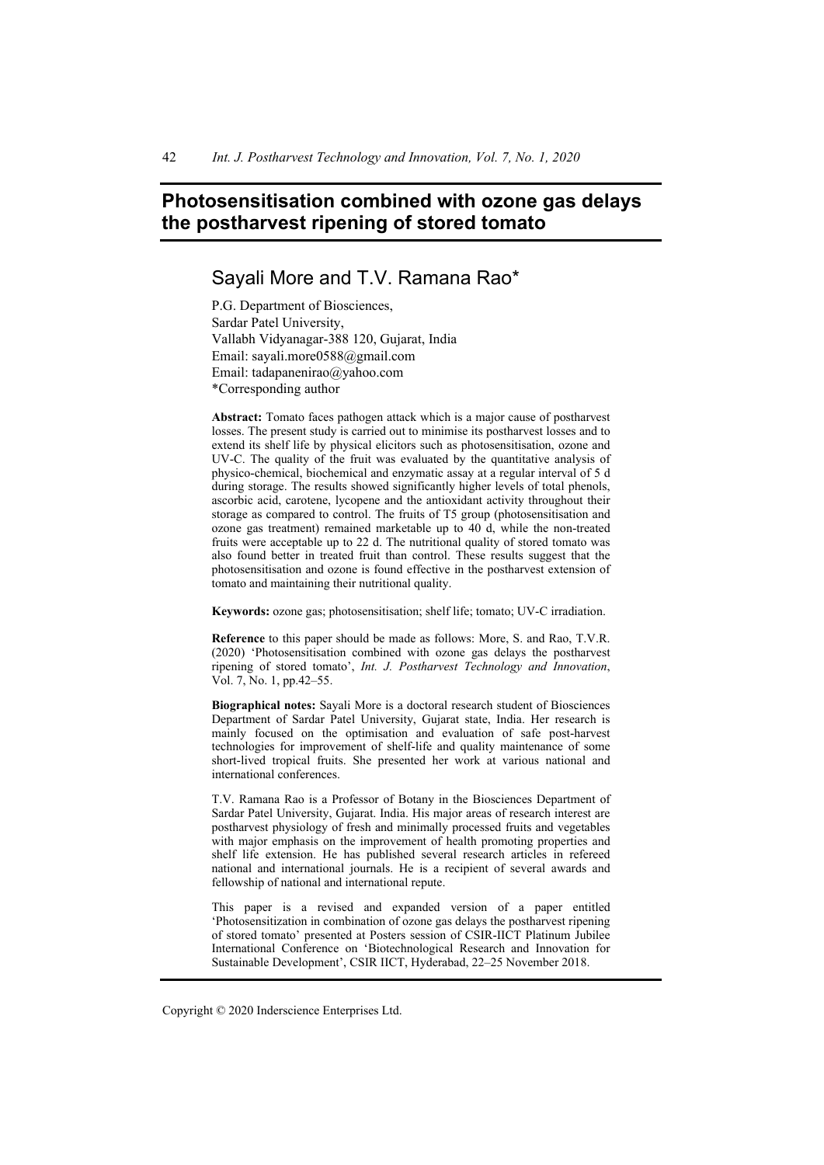# **Photosensitisation combined with ozone gas delays the postharvest ripening of stored tomato**

# Sayali More and T.V. Ramana Rao\*

P.G. Department of Biosciences, Sardar Patel University, Vallabh Vidyanagar-388 120, Gujarat, India Email: sayali.more0588@gmail.com Email: tadapanenirao@yahoo.com \*Corresponding author

**Abstract:** Tomato faces pathogen attack which is a major cause of postharvest losses. The present study is carried out to minimise its postharvest losses and to extend its shelf life by physical elicitors such as photosensitisation, ozone and UV-C. The quality of the fruit was evaluated by the quantitative analysis of physico-chemical, biochemical and enzymatic assay at a regular interval of 5 d during storage. The results showed significantly higher levels of total phenols, ascorbic acid, carotene, lycopene and the antioxidant activity throughout their storage as compared to control. The fruits of T5 group (photosensitisation and ozone gas treatment) remained marketable up to 40 d, while the non-treated fruits were acceptable up to 22 d. The nutritional quality of stored tomato was also found better in treated fruit than control. These results suggest that the photosensitisation and ozone is found effective in the postharvest extension of tomato and maintaining their nutritional quality.

**Keywords:** ozone gas; photosensitisation; shelf life; tomato; UV-C irradiation.

**Reference** to this paper should be made as follows: More, S. and Rao, T.V.R. (2020) 'Photosensitisation combined with ozone gas delays the postharvest ripening of stored tomato', *Int. J. Postharvest Technology and Innovation*, Vol. 7, No. 1, pp.42–55.

**Biographical notes:** Sayali More is a doctoral research student of Biosciences Department of Sardar Patel University, Gujarat state, India. Her research is mainly focused on the optimisation and evaluation of safe post-harvest technologies for improvement of shelf-life and quality maintenance of some short-lived tropical fruits. She presented her work at various national and international conferences.

T.V. Ramana Rao is a Professor of Botany in the Biosciences Department of Sardar Patel University, Gujarat. India. His major areas of research interest are postharvest physiology of fresh and minimally processed fruits and vegetables with major emphasis on the improvement of health promoting properties and shelf life extension. He has published several research articles in refereed national and international journals. He is a recipient of several awards and fellowship of national and international repute.

This paper is a revised and expanded version of a paper entitled 'Photosensitization in combination of ozone gas delays the postharvest ripening of stored tomato' presented at Posters session of CSIR-IICT Platinum Jubilee International Conference on 'Biotechnological Research and Innovation for Sustainable Development', CSIR IICT, Hyderabad, 22–25 November 2018.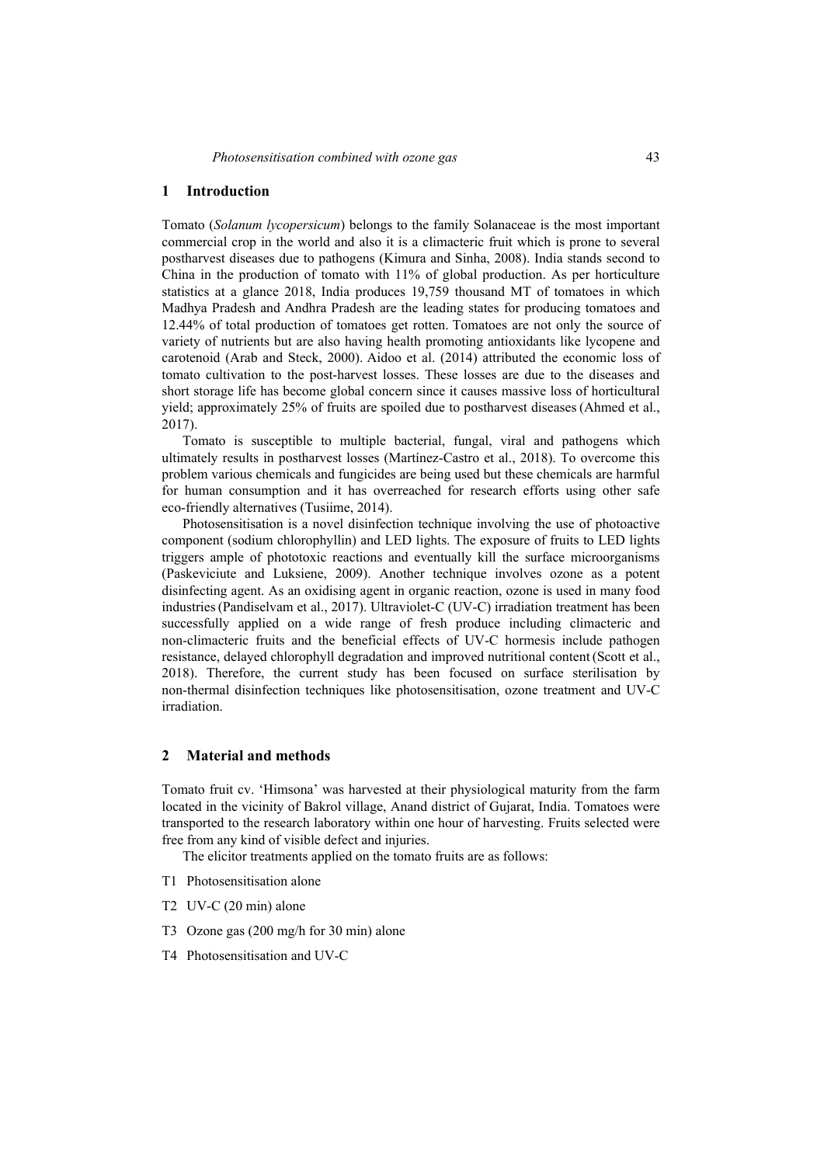#### **1 Introduction**

Tomato (*Solanum lycopersicum*) belongs to the family Solanaceae is the most important commercial crop in the world and also it is a climacteric fruit which is prone to several postharvest diseases due to pathogens (Kimura and Sinha, 2008). India stands second to China in the production of tomato with 11% of global production. As per horticulture statistics at a glance 2018, India produces 19,759 thousand MT of tomatoes in which Madhya Pradesh and Andhra Pradesh are the leading states for producing tomatoes and 12.44% of total production of tomatoes get rotten. Tomatoes are not only the source of variety of nutrients but are also having health promoting antioxidants like lycopene and carotenoid (Arab and Steck, 2000). Aidoo et al. (2014) attributed the economic loss of tomato cultivation to the post-harvest losses. These losses are due to the diseases and short storage life has become global concern since it causes massive loss of horticultural yield; approximately 25% of fruits are spoiled due to postharvest diseases (Ahmed et al., 2017).

Tomato is susceptible to multiple bacterial, fungal, viral and pathogens which ultimately results in postharvest losses (Martínez-Castro et al., 2018). To overcome this problem various chemicals and fungicides are being used but these chemicals are harmful for human consumption and it has overreached for research efforts using other safe eco-friendly alternatives (Tusiime, 2014).

Photosensitisation is a novel disinfection technique involving the use of photoactive component (sodium chlorophyllin) and LED lights. The exposure of fruits to LED lights triggers ample of phototoxic reactions and eventually kill the surface microorganisms (Paskeviciute and Luksiene, 2009). Another technique involves ozone as a potent disinfecting agent. As an oxidising agent in organic reaction, ozone is used in many food industries(Pandiselvam et al., 2017). Ultraviolet-C (UV-C) irradiation treatment has been successfully applied on a wide range of fresh produce including climacteric and non-climacteric fruits and the beneficial effects of UV-C hormesis include pathogen resistance, delayed chlorophyll degradation and improved nutritional content (Scott et al., 2018). Therefore, the current study has been focused on surface sterilisation by non-thermal disinfection techniques like photosensitisation, ozone treatment and UV-C irradiation.

### **2 Material and methods**

Tomato fruit cv. 'Himsona' was harvested at their physiological maturity from the farm located in the vicinity of Bakrol village, Anand district of Gujarat, India. Tomatoes were transported to the research laboratory within one hour of harvesting. Fruits selected were free from any kind of visible defect and injuries.

The elicitor treatments applied on the tomato fruits are as follows:

- T1 Photosensitisation alone
- T2 UV-C (20 min) alone
- T3 Ozone gas (200 mg/h for 30 min) alone
- T4 Photosensitisation and UV-C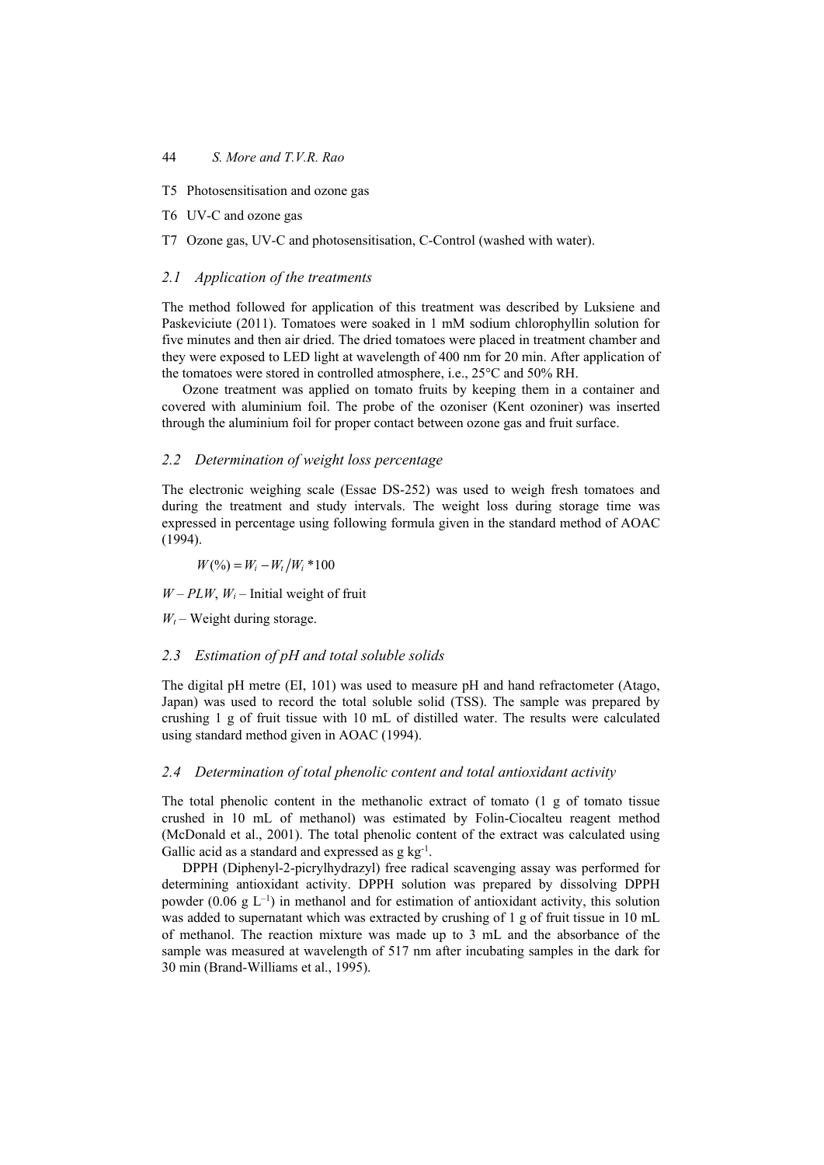- T5 Photosensitisation and ozone gas
- T6 UV-C and ozone gas
- T7 Ozone gas, UV-C and photosensitisation, C-Control (washed with water).

### *2.1 Application of the treatments*

The method followed for application of this treatment was described by Luksiene and Paskeviciute (2011). Tomatoes were soaked in 1 mM sodium chlorophyllin solution for five minutes and then air dried. The dried tomatoes were placed in treatment chamber and they were exposed to LED light at wavelength of 400 nm for 20 min. After application of the tomatoes were stored in controlled atmosphere, i.e., 25°C and 50% RH.

Ozone treatment was applied on tomato fruits by keeping them in a container and covered with aluminium foil. The probe of the ozoniser (Kent ozoniner) was inserted through the aluminium foil for proper contact between ozone gas and fruit surface.

### *2.2 Determination of weight loss percentage*

The electronic weighing scale (Essae DS-252) was used to weigh fresh tomatoes and during the treatment and study intervals. The weight loss during storage time was expressed in percentage using following formula given in the standard method of AOAC (1994).

 $W$  (%) =  $W_i - W_i / W_i * 100$ 

 $W - PLW$ ,  $W_i$  – Initial weight of fruit

 $W_t$  – Weight during storage.

#### *2.3 Estimation of pH and total soluble solids*

The digital pH metre (EI, 101) was used to measure pH and hand refractometer (Atago, Japan) was used to record the total soluble solid (TSS). The sample was prepared by crushing 1 g of fruit tissue with 10 mL of distilled water. The results were calculated using standard method given in AOAC (1994).

#### *2.4 Determination of total phenolic content and total antioxidant activity*

The total phenolic content in the methanolic extract of tomato (1 g of tomato tissue crushed in 10 mL of methanol) was estimated by Folin-Ciocalteu reagent method (McDonald et al., 2001). The total phenolic content of the extract was calculated using Gallic acid as a standard and expressed as  $g \, kg^{-1}$ .

DPPH (Diphenyl-2-picrylhydrazyl) free radical scavenging assay was performed for determining antioxidant activity. DPPH solution was prepared by dissolving DPPH powder (0.06 g  $L^{-1}$ ) in methanol and for estimation of antioxidant activity, this solution was added to supernatant which was extracted by crushing of 1 g of fruit tissue in 10 mL of methanol. The reaction mixture was made up to 3 mL and the absorbance of the sample was measured at wavelength of 517 nm after incubating samples in the dark for 30 min (Brand-Williams et al., 1995).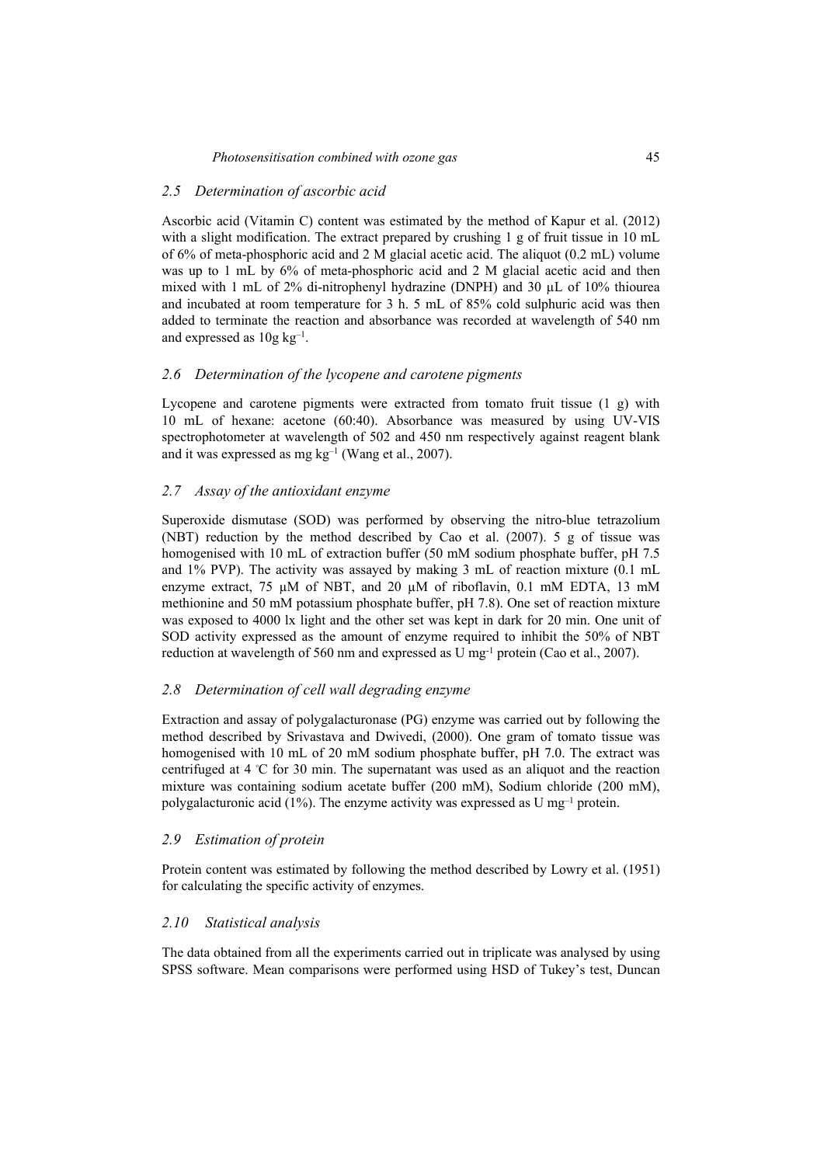# *2.5 Determination of ascorbic acid*

Ascorbic acid (Vitamin C) content was estimated by the method of Kapur et al. (2012) with a slight modification. The extract prepared by crushing 1 g of fruit tissue in 10 mL of 6% of meta-phosphoric acid and 2 M glacial acetic acid. The aliquot (0.2 mL) volume was up to 1 mL by 6% of meta-phosphoric acid and 2 M glacial acetic acid and then mixed with 1 mL of 2% di-nitrophenyl hydrazine (DNPH) and 30 µL of 10% thiourea and incubated at room temperature for 3 h. 5 mL of 85% cold sulphuric acid was then added to terminate the reaction and absorbance was recorded at wavelength of 540 nm and expressed as  $10g \text{ kg}^{-1}$ .

# *2.6 Determination of the lycopene and carotene pigments*

Lycopene and carotene pigments were extracted from tomato fruit tissue (1 g) with 10 mL of hexane: acetone (60:40). Absorbance was measured by using UV-VIS spectrophotometer at wavelength of 502 and 450 nm respectively against reagent blank and it was expressed as mg  $kg^{-1}$  (Wang et al., 2007).

# *2.7 Assay of the antioxidant enzyme*

Superoxide dismutase (SOD) was performed by observing the nitro-blue tetrazolium (NBT) reduction by the method described by Cao et al. (2007). 5 g of tissue was homogenised with 10 mL of extraction buffer (50 mM sodium phosphate buffer, pH 7.5 and 1% PVP). The activity was assayed by making 3 mL of reaction mixture (0.1 mL enzyme extract, 75  $\mu$ M of NBT, and 20  $\mu$ M of riboflavin, 0.1 mM EDTA, 13 mM methionine and 50 mM potassium phosphate buffer, pH 7.8). One set of reaction mixture was exposed to 4000 lx light and the other set was kept in dark for 20 min. One unit of SOD activity expressed as the amount of enzyme required to inhibit the 50% of NBT reduction at wavelength of 560 nm and expressed as U mg-1 protein (Cao et al., 2007).

# *2.8 Determination of cell wall degrading enzyme*

Extraction and assay of polygalacturonase (PG) enzyme was carried out by following the method described by Srivastava and Dwivedi, (2000). One gram of tomato tissue was homogenised with 10 mL of 20 mM sodium phosphate buffer, pH 7.0. The extract was centrifuged at 4 °C for 30 min. The supernatant was used as an aliquot and the reaction mixture was containing sodium acetate buffer (200 mM), Sodium chloride (200 mM), polygalacturonic acid (1%). The enzyme activity was expressed as U mg<sup>-1</sup> protein.

# *2.9 Estimation of protein*

Protein content was estimated by following the method described by Lowry et al. (1951) for calculating the specific activity of enzymes.

# *2.10 Statistical analysis*

The data obtained from all the experiments carried out in triplicate was analysed by using SPSS software. Mean comparisons were performed using HSD of Tukey's test, Duncan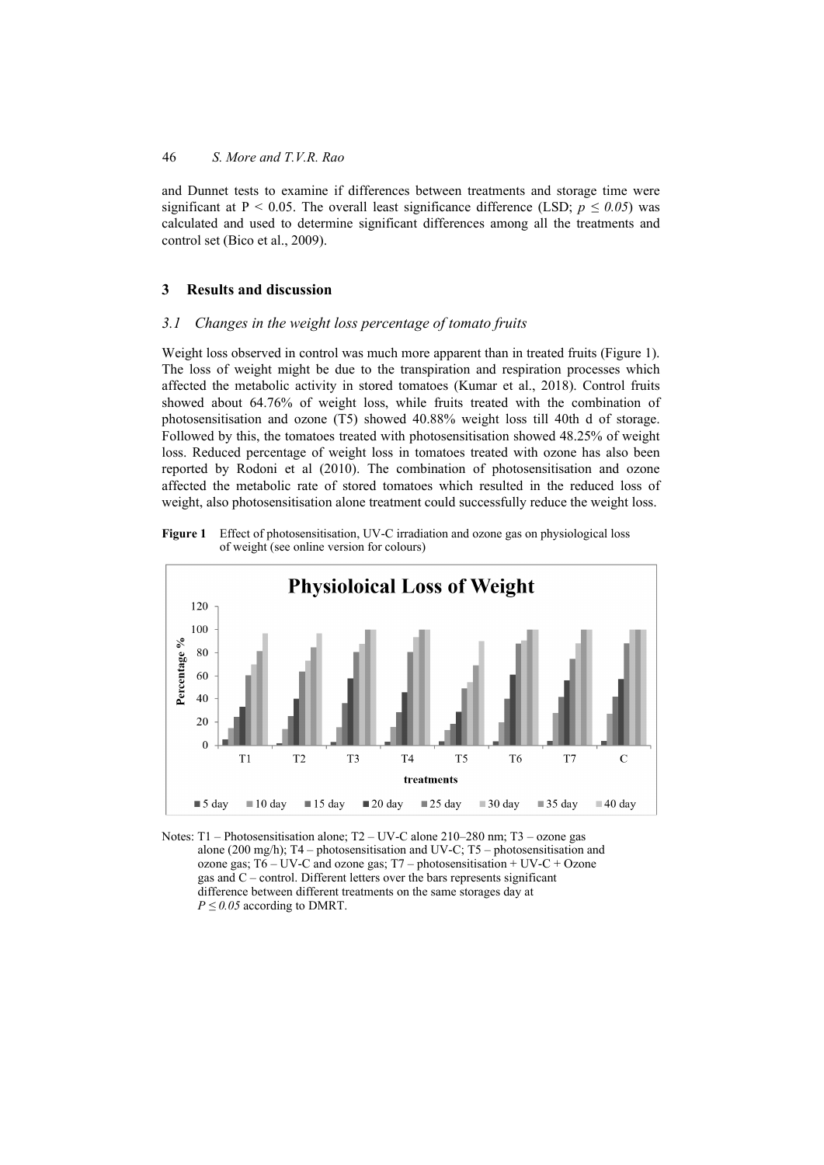and Dunnet tests to examine if differences between treatments and storage time were significant at P < 0.05. The overall least significance difference (LSD;  $p \le 0.05$ ) was calculated and used to determine significant differences among all the treatments and control set (Bico et al., 2009).

### **3 Results and discussion**

### *3.1 Changes in the weight loss percentage of tomato fruits*

Weight loss observed in control was much more apparent than in treated fruits (Figure 1). The loss of weight might be due to the transpiration and respiration processes which affected the metabolic activity in stored tomatoes (Kumar et al., 2018). Control fruits showed about 64.76% of weight loss, while fruits treated with the combination of photosensitisation and ozone (T5) showed 40.88% weight loss till 40th d of storage. Followed by this, the tomatoes treated with photosensitisation showed 48.25% of weight loss. Reduced percentage of weight loss in tomatoes treated with ozone has also been reported by Rodoni et al (2010). The combination of photosensitisation and ozone affected the metabolic rate of stored tomatoes which resulted in the reduced loss of weight, also photosensitisation alone treatment could successfully reduce the weight loss.





Notes: T1 – Photosensitisation alone; T2 – UV-C alone 210–280 nm; T3 – ozone gas alone (200 mg/h); T4 – photosensitisation and UV-C; T5 – photosensitisation and ozone gas;  $T6 - UV-C$  and ozone gas;  $T7 - photosensitivityation + UV-C + Ozone$ gas and C – control. Different letters over the bars represents significant difference between different treatments on the same storages day at  $P \leq 0.05$  according to DMRT.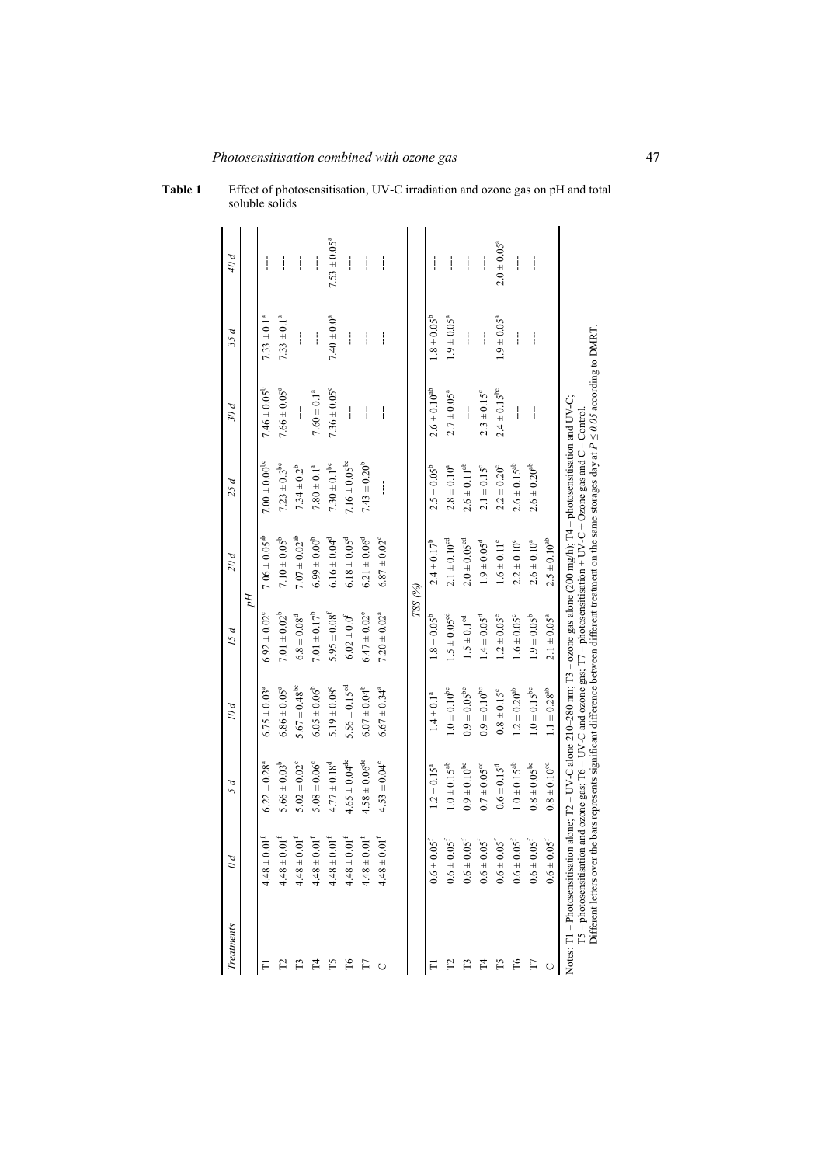| Treatments                     | $\theta d$                                                                                                                                                                            | 5 d                          | 10d                                                                                                                                                                                                                                         | 15d                          | 20d                          | 25 d                   | 30 d                         | 35 d                   | 40 d              |
|--------------------------------|---------------------------------------------------------------------------------------------------------------------------------------------------------------------------------------|------------------------------|---------------------------------------------------------------------------------------------------------------------------------------------------------------------------------------------------------------------------------------------|------------------------------|------------------------------|------------------------|------------------------------|------------------------|-------------------|
|                                |                                                                                                                                                                                       |                              |                                                                                                                                                                                                                                             |                              | ÞЦ                           |                        |                              |                        |                   |
|                                | $4.48 \pm 0.01^f$                                                                                                                                                                     | $6.22 \pm 0.28^a$            | $6.75 \pm 0.03^a$                                                                                                                                                                                                                           | $6.92 \pm 0.02^{\circ}$      | $7.06 \pm 0.05^{ab}$         | $7.00 \pm 0.00^{b}$    | $7.46 \pm 0.05^b$            | $7.33 \pm 0.1^a$       | ļ                 |
|                                | $4.48 \pm 0.$                                                                                                                                                                         | $5.66 \pm 0.03^b$            | $6.86 \pm 0.05$ <sup>a</sup>                                                                                                                                                                                                                | $7.01 \pm 0.02^b$            | $7.10 \pm 0.05^b$            | $7.23\pm0.3^{\rm bc}$  | $7.66 \pm 0.05$ <sup>a</sup> | $7.33 \pm 0.1^a$       | ļ                 |
|                                | $\overline{d}$ if $\overline{d}$<br>$4.48 \pm 0.$                                                                                                                                     | $5.02 \pm 0.02^{\circ}$      | $5.67 \pm 0.48^{\rm bc}$                                                                                                                                                                                                                    | $6.8 \pm 0.08^d$             | $7.07 \pm 0.02^{ab}$         | $7.34 \pm 0.2^{b}$     | ł                            | ļ                      | ļ                 |
| 74                             | $4.48 \pm 0.$                                                                                                                                                                         | $5.08 \pm 0.06^{\circ}$      | $6.05 \pm 0.06^b$                                                                                                                                                                                                                           | $7.01 \pm 0.17^b$            | $6.99 \pm 0.00^{\circ}$      | $7.80\pm0.1^{\rm a}$   | $7.60 \pm 0.1^a$             | ļ                      | ļ                 |
| Ě                              | $4.48\pm0.01^{\rm f}$                                                                                                                                                                 | $4.77 \pm 0.18^d$            | $5.19 \pm 0.08^{\circ}$                                                                                                                                                                                                                     | $5.95 \pm 0.08^{\rm f}$      | $6.16 \pm 0.04^d$            | $7.30\pm0.1^{\rm bc}$  | $7.36 \pm 0.05^{\circ}$      | $7.40 \pm 0.0^a$       | $7.53 \pm 0.05^a$ |
| $\mathbb{F}$                   | $\overline{D}$<br>$4.48 \pm 0.$                                                                                                                                                       | $4.65 \pm 0.04^{\text{de}}$  | $5.56 \pm 0.15$ <sup>cd</sup>                                                                                                                                                                                                               | $6.02 \pm 0.0^{\rm f}$       | $6.18 \pm 0.05^{\rm d}$      | $7.16 \pm 0.05^{bc}$   | ł                            | ļ                      | I                 |
| F                              | $01^{\rm f}$<br>$4.48 \pm 0.0$                                                                                                                                                        | $4.58 \pm 0.06^{\text{de}}$  | $6.07 \pm 0.04^b$                                                                                                                                                                                                                           | $6.47 \pm 0.02^{\circ}$      | $6.21 \pm 0.06^{\circ}$      | $7.43 \pm 0.20^b$      | ļ                            | ļ                      | ļ                 |
| U                              | $\overline{u}$<br>$4.48 \pm 0.$                                                                                                                                                       | $4.53 \pm 0.04^{\circ}$      | $6.67 \pm 0.34$ <sup>a</sup>                                                                                                                                                                                                                | $7.20 \pm 0.02^a$            | $6.87 \pm 0.02$ <sup>c</sup> | ļ                      | ł                            | ļ                      | ļ                 |
|                                |                                                                                                                                                                                       |                              |                                                                                                                                                                                                                                             |                              |                              |                        |                              |                        |                   |
|                                |                                                                                                                                                                                       |                              |                                                                                                                                                                                                                                             |                              | $TSS$ (%)                    |                        |                              |                        |                   |
|                                | $0.6 \pm 0.05$ <sup>f</sup>                                                                                                                                                           | $1.2 \pm 0.15^{\circ}$       | $1.4 \pm 0.1^{a}$                                                                                                                                                                                                                           | $1.8 \pm 0.05^{\circ}$       | $2.4 \pm 0.17^b$             | $2.5 \pm 0.05^b$       | $2.6\pm0.10^{\rm ab}$        | $1.8 \pm 0.05^{\rm b}$ | ļ                 |
|                                | $0.6 \pm 0.05^{\rm f}$                                                                                                                                                                | $1.0 \pm 0.15^{ab}$          | $1.0\pm0.10^{\rm bc}$                                                                                                                                                                                                                       | $1.5 \pm 0.05$ <sup>cd</sup> | $2.1 \pm 0.10^{cd}$          | $2.8 \pm 0.10^a$       | $2.7 \pm 0.05^a$             | $1.9 \pm 0.05^a$       | I                 |
|                                | $0.6 \pm 0.05^{\rm f}$                                                                                                                                                                | $0.9 \pm 0.10^{bc}$          | $0.9\pm0.05^{\rm bc}$                                                                                                                                                                                                                       | $1.5 \pm 0.1$ <sup>od</sup>  | $2.0\pm0.05^{\rm od}$        | $2.6\pm0.11^{\rm ab}$  | ł                            | ļ                      | ļ                 |
| 74                             | $0.6\pm0.05^{\rm f}$                                                                                                                                                                  | $0.7 \pm 0.05$ <sup>od</sup> | $0.9\pm0.10^{\rm bc}$                                                                                                                                                                                                                       | $1.4 \pm 0.05$ <sup>d</sup>  | $1.9 \pm 0.05^{\rm d}$       | $2.1 \pm 0.15^{\circ}$ | $2.3 \pm 0.15^{\circ}$       | ļ                      | ļ                 |
|                                | $0.6 \pm 0.05$ <sup>f</sup>                                                                                                                                                           | $0.6 \pm 0.15^{\rm d}$       | $0.8 \pm 0.15^{\circ}$                                                                                                                                                                                                                      | $1.2 \pm 0.05^{\circ}$       | $1.6 \pm 0.11^{\circ}$       | $2.2 \pm 0.20^{\circ}$ | $2.4 \pm 0.15^{\circ}$       | $1.9 \pm 0.05^{\circ}$ | $2.0 \pm 0.05^a$  |
| Pб                             | $0.6 \pm 0.05^{\rm f}$                                                                                                                                                                | $1.0 \pm 0.15^{ab}$          | $1.2 \pm 0.20^{ab}$                                                                                                                                                                                                                         | $1.6 \pm 0.05^{\circ}$       | $2.2 \pm 0.10^{\circ}$       | $2.6 \pm 0.15^{ab}$    | ļ                            | ļ                      | I                 |
|                                | $0.6\pm0.05^{\rm f}$                                                                                                                                                                  | $0.8\pm0.05^{\rm bc}$        | $1.0\pm0.15^{\rm bc}$                                                                                                                                                                                                                       | $1.9 \pm 0.05^b$             | $2.6 \pm 0.10^a$             | $2.6\pm0.20^{\rm ab}$  | ļ                            | ļ                      | ļ                 |
|                                | $0.6\pm0.05^{\rm f}$                                                                                                                                                                  | $0.8\pm0.10^{\rm od}$        | $1.1\pm0.28^{\rm ab}$                                                                                                                                                                                                                       | $2.1 \pm 0.05^{\circ}$       | $2.5\pm0.10^{\rm ab}$        |                        | ļ                            | ļ                      | ļ                 |
| Notes: T1 - Photosensitisation | Different letters over the bars represents significant difference between different treatment on the same storages day at $P \le 0.05$ according to DMRT<br>$T5$ – photosensitisation |                              | alone; $T2 - UV - C$ alone 210-280 nm; $T3 - \text{ozone gas}$ alone (200 mg/h); $T4 - \text{photosensitivity}$ and $UV - C$ ;<br>and ozone gas; $T6 - UV - C$ and ozone gas; $T7 -$ photosensitisation + UV-C + Ozone gas and C - Control. |                              |                              |                        |                              |                        |                   |

### **Table 1** Effect of photosensitisation, UV-C irradiation and ozone gas on pH and total soluble solids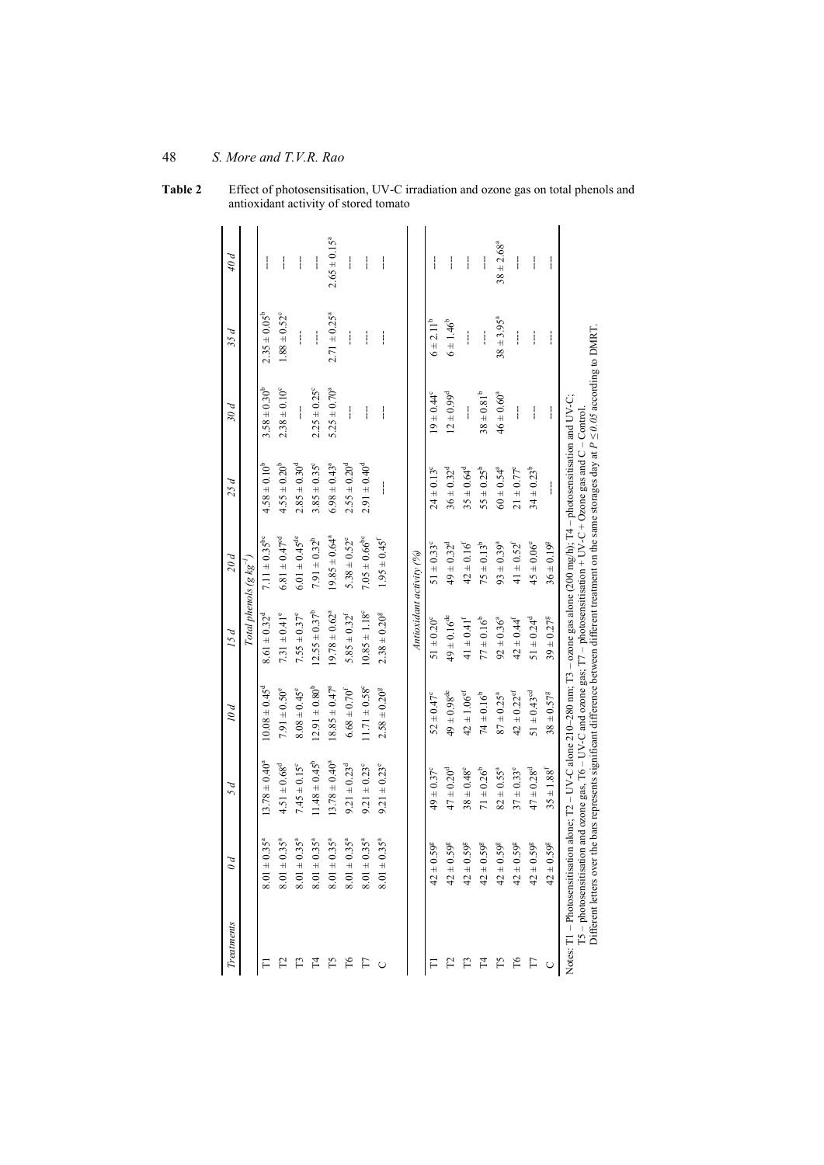| Treatments                                              | $\theta d$                   | 5 d                          | 10d                                                                                                                                                       | 15d                           | 20d                                                                                                                                                                                                                                 | 25d                          | 30d                     | 35d                     | 40 d                    |
|---------------------------------------------------------|------------------------------|------------------------------|-----------------------------------------------------------------------------------------------------------------------------------------------------------|-------------------------------|-------------------------------------------------------------------------------------------------------------------------------------------------------------------------------------------------------------------------------------|------------------------------|-------------------------|-------------------------|-------------------------|
|                                                         |                              |                              |                                                                                                                                                           | Total phenols (g $kg^{-1}$ )  |                                                                                                                                                                                                                                     |                              |                         |                         |                         |
|                                                         | $8.01 \pm 0.35^{a}$          | $13.78 \pm 0.40^a$           | $10.08 \pm 0.45^{\circ}$                                                                                                                                  | $8.61 \pm 0.32^{\circ}$       | 7.11 $\pm$ 0.35 <sup>bc</sup>                                                                                                                                                                                                       | $4.58 \pm 0.10^b$            | $3.58 \pm 0.30^b$       | $2.35 \pm 0.05^{\circ}$ | ļ                       |
|                                                         | $8.01 \pm 0.35^{\circ}$      | $4.51 \pm 0.68$ <sup>d</sup> | $7.91 \pm 0.50^{\circ}$                                                                                                                                   | $7.31 \pm 0.41$ °             | $6.81 \pm 0.47$ <sup>cd</sup>                                                                                                                                                                                                       | $4.55 \pm 0.20^{\circ}$      | $2.38 \pm 0.10^{\circ}$ | $1.88 \pm 0.52^{\circ}$ | ļ                       |
|                                                         | $8.01 \pm 0.35$ <sup>a</sup> | $7.45 \pm 0.15^{\circ}$      | $8.08 \pm 0.45^{\circ}$                                                                                                                                   | $7.55 \pm 0.37^{\circ}$       | $6.01 \pm 0.45^{\text{de}}$                                                                                                                                                                                                         | $2.85 \pm 0.30^{\circ}$      | ł                       | ļ                       | ļ                       |
|                                                         | $8.01 \pm 0.35$ <sup>a</sup> | $11.48 \pm 0.45^{\circ}$     | $12.91 \pm 0.80^b$                                                                                                                                        | $12.55 \pm 0.37^b$            | $7.91 \pm 0.32^b$                                                                                                                                                                                                                   | $3.85 \pm 0.35^{\circ}$      | $2.25 \pm 0.25^{\circ}$ | ļ                       | ļ                       |
|                                                         | $8.01 \pm 0.35^{\circ}$      | $13.78 \pm 0.40^a$           | $18.85 \pm 0.47^a$                                                                                                                                        | $19.78 \pm 0.62$ <sup>a</sup> | $19.85 \pm 0.64^a$                                                                                                                                                                                                                  | $6.98 \pm 0.43$ <sup>a</sup> | $5.25 \pm 0.70^a$       | $2.71 \pm 0.25^{\circ}$ | $2.65 \pm 0.15^{\circ}$ |
| ρT                                                      | $8.01 \pm 0.35^{\circ}$      | $9.21 \pm 0.23$ <sup>d</sup> | $6.68 \pm 0.70^f$                                                                                                                                         | $5.85 \pm 0.32^{\mathrm{f}}$  | $5.38 \pm 0.52^{\circ}$                                                                                                                                                                                                             | $2.55 \pm 0.20^{\rm d}$      | ł                       | ļ                       | I                       |
| F                                                       | $8.01 \pm 0.35^{\circ}$      | $9.21 \pm 0.23^{\circ}$      | $11.71 \pm 0.58^{\circ}$                                                                                                                                  | $10.85 \pm 1.18^{\circ}$      | $7.05 \pm 0.66^{\rm bc}$                                                                                                                                                                                                            | $2.91 \pm 0.40^{\circ}$      | ļ                       | ļ                       | $\mathbf{i}$            |
|                                                         | $8.01 \pm 0.35$              | $9.21 \pm 0.23^{\circ}$      | $2.58 \pm 0.20$ <sup>g</sup>                                                                                                                              | $2.38 \pm 0.20$ <sup>g</sup>  | $1.95 \pm 0.45$ <sup>t</sup>                                                                                                                                                                                                        | i                            | ļ                       | ļ                       | ļ                       |
|                                                         |                              |                              |                                                                                                                                                           |                               |                                                                                                                                                                                                                                     |                              |                         |                         |                         |
|                                                         |                              |                              |                                                                                                                                                           |                               | Antioxidant activity (%)                                                                                                                                                                                                            |                              |                         |                         |                         |
|                                                         | $42 \pm 0.59^{\circ}$        | $49 \pm 0.37^{\circ}$        | $52 \pm 0.47^{\circ}$                                                                                                                                     | $51 \pm 0.20^{\circ}$         | $51 \pm 0.33^{\circ}$                                                                                                                                                                                                               | $24 \pm 0.13^{\circ}$        | $19 \pm 0.44^{\circ}$   | $6 \pm 2.11^b$          | ļ                       |
|                                                         | $42 \pm 0.59$                | $47 \pm 0.20^{\circ}$        | $49 \pm 0.98^{\rm de}$                                                                                                                                    | $49 \pm 0.16^{de}$            | $49 \pm 0.32^{\circ}$                                                                                                                                                                                                               | $36 \pm 0.32^{\circ}$        | $12 \pm 0.99^d$         | $6 \pm 1.46^{\circ}$    | I                       |
|                                                         | $42 \pm 0.59^8$              | $38 \pm 0.48^{\circ}$        | $42 \pm 1.06$ <sup>ef</sup>                                                                                                                               | $41 \pm 0.41^f$               | $42 \pm 0.16^{t}$                                                                                                                                                                                                                   | $35 \pm 0.64^d$              | ļ                       | ļ                       | ļ                       |
|                                                         | $42 \pm 0.59^{\rm g}$        | $71 \pm 0.26^b$              | $74 \pm 0.16^{b}$                                                                                                                                         | $77 \pm 0.16^{\circ}$         | $75 \pm 0.13^{b}$                                                                                                                                                                                                                   | $55 \pm 0.25^{\circ}$        | $38 \pm 0.81^b$         | ļ                       | ļ                       |
|                                                         | $42 \pm 0.59^8$              | $82 \pm 0.55^{\circ}$        | $87 \pm 0.25^{\circ}$                                                                                                                                     | $92 \pm 0.36^{\circ}$         | $93 \pm 0.39^a$                                                                                                                                                                                                                     | $60 \pm 0.54^{\circ}$        | $46 \pm 0.60^a$         | $38 + 3.95^{\circ}$     | $38 + 2.68^a$           |
| P6                                                      | $42 \pm 0.59$                | $37 \pm 0.33^{\circ}$        | $42 \pm 0.22$ <sup>ef</sup>                                                                                                                               | $42 \pm 0.44^{\mathrm{f}}$    | $41 \pm 0.52^{\mathrm{f}}$                                                                                                                                                                                                          | $21 \pm 0.77^{\circ}$        | I                       | ļ                       | ļ                       |
|                                                         | $42 \pm 0.59$                | $47 \pm 0.28$ <sup>d</sup>   | $51 \pm 0.43$ <sup>cd</sup>                                                                                                                               | $51 \pm 0.24^d$               | $45 \pm 0.06^{\circ}$                                                                                                                                                                                                               | $34 \pm 0.23^b$              | ļ                       | ļ                       | ļ                       |
|                                                         | $42 \pm 0.59$                | $35 \pm 1.88^{f}$            | $38 \pm 0.57^8$                                                                                                                                           | $39 \pm 0.27^8$               | $36 \pm 0.19^{\rm g}$                                                                                                                                                                                                               | i                            | ļ                       | ļ                       | ļ                       |
| Notes: T1 - Photosensitisation<br>T5-photosensitisation |                              |                              | Different letters over the bars represents significant difference between different treatment on the same storages day at $P \le 0.05$ according to DMRT. |                               | alone; $T2 - UV-C$ alone 210-280 nm; $T3 - \text{ozone gas}$ alone (200 mg/h); $T4 - \text{photosensitisation}$ and $UV-C$ ;<br>and ozone gas, T6 – UV-C and ozone gas; T7 – photosensitisation + UV-C + Ozone gas and C – Control. |                              |                         |                         |                         |

**Table 2** Effect of photosensitisation, UV-C irradiation and ozone gas on total phenols and antioxidant activity of stored tomato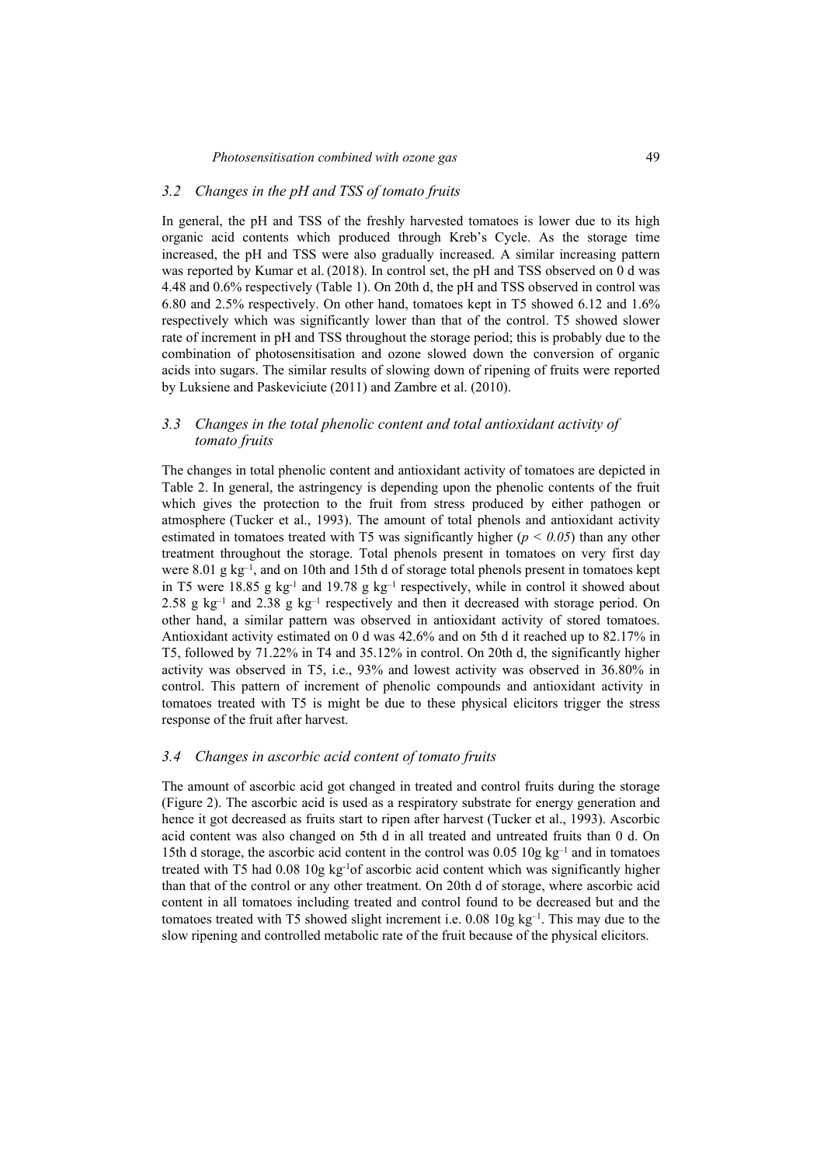#### *3.2 Changes in the pH and TSS of tomato fruits*

In general, the pH and TSS of the freshly harvested tomatoes is lower due to its high organic acid contents which produced through Kreb's Cycle. As the storage time increased, the pH and TSS were also gradually increased. A similar increasing pattern was reported by Kumar et al. (2018). In control set, the pH and TSS observed on 0 d was 4.48 and 0.6% respectively (Table 1). On 20th d, the pH and TSS observed in control was 6.80 and 2.5% respectively. On other hand, tomatoes kept in T5 showed 6.12 and 1.6% respectively which was significantly lower than that of the control. T5 showed slower rate of increment in pH and TSS throughout the storage period; this is probably due to the combination of photosensitisation and ozone slowed down the conversion of organic acids into sugars. The similar results of slowing down of ripening of fruits were reported by Luksiene and Paskeviciute (2011) and Zambre et al. (2010).

### *3.3 Changes in the total phenolic content and total antioxidant activity of tomato fruits*

The changes in total phenolic content and antioxidant activity of tomatoes are depicted in Table 2. In general, the astringency is depending upon the phenolic contents of the fruit which gives the protection to the fruit from stress produced by either pathogen or atmosphere (Tucker et al., 1993). The amount of total phenols and antioxidant activity estimated in tomatoes treated with T5 was significantly higher ( $p < 0.05$ ) than any other treatment throughout the storage. Total phenols present in tomatoes on very first day were 8.01 g kg<sup>-1</sup>, and on 10th and 15th d of storage total phenols present in tomatoes kept in T5 were  $18.85$  g kg<sup>-1</sup> and  $19.78$  g kg<sup>-1</sup> respectively, while in control it showed about 2.58 g kg<sup>-1</sup> and 2.38 g kg<sup>-1</sup> respectively and then it decreased with storage period. On other hand, a similar pattern was observed in antioxidant activity of stored tomatoes. Antioxidant activity estimated on 0 d was 42.6% and on 5th d it reached up to 82.17% in T5, followed by 71.22% in T4 and 35.12% in control. On 20th d, the significantly higher activity was observed in T5, i.e., 93% and lowest activity was observed in 36.80% in control. This pattern of increment of phenolic compounds and antioxidant activity in tomatoes treated with T5 is might be due to these physical elicitors trigger the stress response of the fruit after harvest.

### *3.4 Changes in ascorbic acid content of tomato fruits*

The amount of ascorbic acid got changed in treated and control fruits during the storage (Figure 2). The ascorbic acid is used as a respiratory substrate for energy generation and hence it got decreased as fruits start to ripen after harvest (Tucker et al., 1993). Ascorbic acid content was also changed on 5th d in all treated and untreated fruits than 0 d. On 15th d storage, the ascorbic acid content in the control was  $0.05 \times 10 \text{ g kg}^{-1}$  and in tomatoes treated with T5 had 0.08 10g kg-1of ascorbic acid content which was significantly higher than that of the control or any other treatment. On 20th d of storage, where ascorbic acid content in all tomatoes including treated and control found to be decreased but and the tomatoes treated with T5 showed slight increment i.e.  $0.08 \times 10$  kg<sup>-1</sup>. This may due to the slow ripening and controlled metabolic rate of the fruit because of the physical elicitors.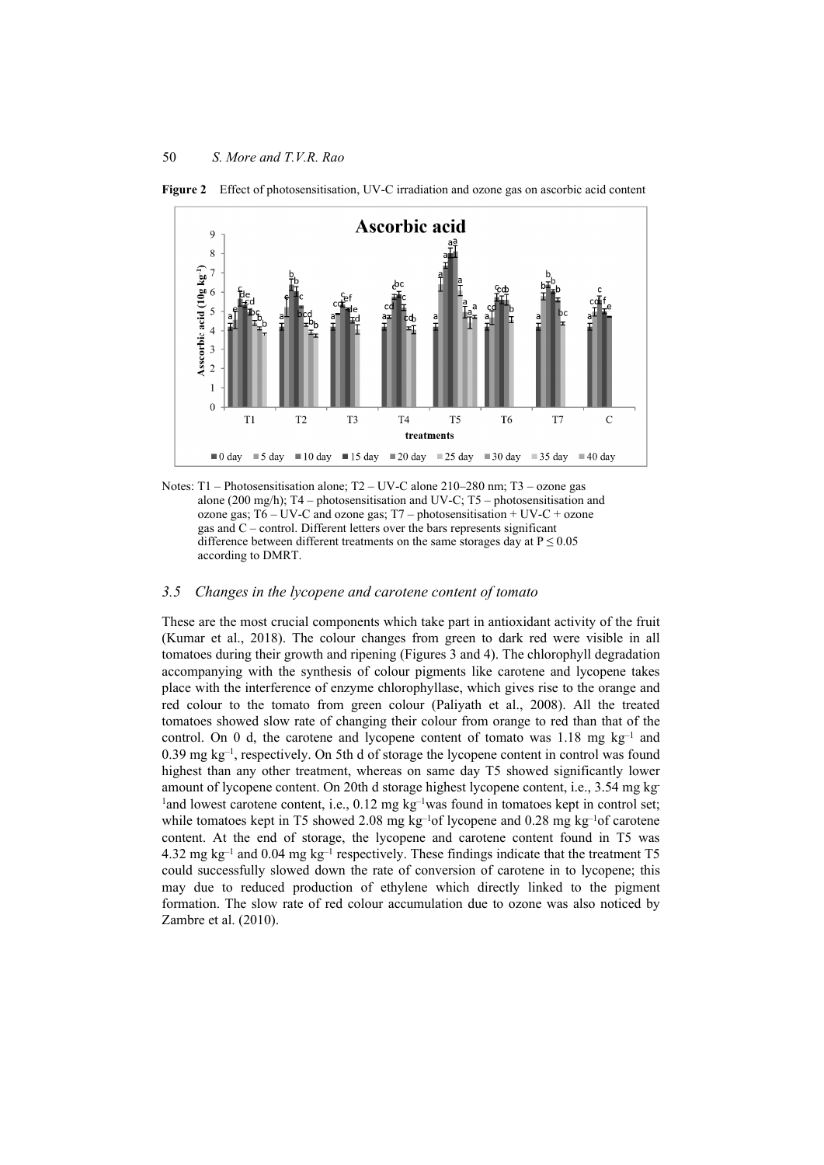

**Figure 2** Effect of photosensitisation, UV-C irradiation and ozone gas on ascorbic acid content

Notes: T1 – Photosensitisation alone; T2 – UV-C alone 210–280 nm; T3 – ozone gas alone (200 mg/h); T4 – photosensitisation and UV-C; T5 – photosensitisation and ozone gas;  $T6 - UV-C$  and ozone gas;  $T7 - photosensitivityation + UV-C + ozone$ gas and  $C$  – control. Different letters over the bars represents significant difference between different treatments on the same storages day at  $P \le 0.05$ according to DMRT.

#### *3.5 Changes in the lycopene and carotene content of tomato*

These are the most crucial components which take part in antioxidant activity of the fruit (Kumar et al., 2018). The colour changes from green to dark red were visible in all tomatoes during their growth and ripening (Figures 3 and 4). The chlorophyll degradation accompanying with the synthesis of colour pigments like carotene and lycopene takes place with the interference of enzyme chlorophyllase, which gives rise to the orange and red colour to the tomato from green colour (Paliyath et al., 2008). All the treated tomatoes showed slow rate of changing their colour from orange to red than that of the control. On 0 d, the carotene and lycopene content of tomato was  $1.18 \text{ mg kg}^{-1}$  and  $0.39 \text{ mg kg}^{-1}$ , respectively. On 5th d of storage the lycopene content in control was found highest than any other treatment, whereas on same day T5 showed significantly lower amount of lycopene content. On 20th d storage highest lycopene content, i.e., 3.54 mg kg-<sup>1</sup>and lowest carotene content, i.e., 0.12 mg kg<sup>-1</sup>was found in tomatoes kept in control set; while tomatoes kept in T5 showed 2.08 mg kg<sup>-1</sup>of lycopene and 0.28 mg kg<sup>-1</sup>of carotene content. At the end of storage, the lycopene and carotene content found in T5 was 4.32 mg kg<sup>-1</sup> and 0.04 mg kg<sup>-1</sup> respectively. These findings indicate that the treatment T5 could successfully slowed down the rate of conversion of carotene in to lycopene; this may due to reduced production of ethylene which directly linked to the pigment formation. The slow rate of red colour accumulation due to ozone was also noticed by Zambre et al. (2010).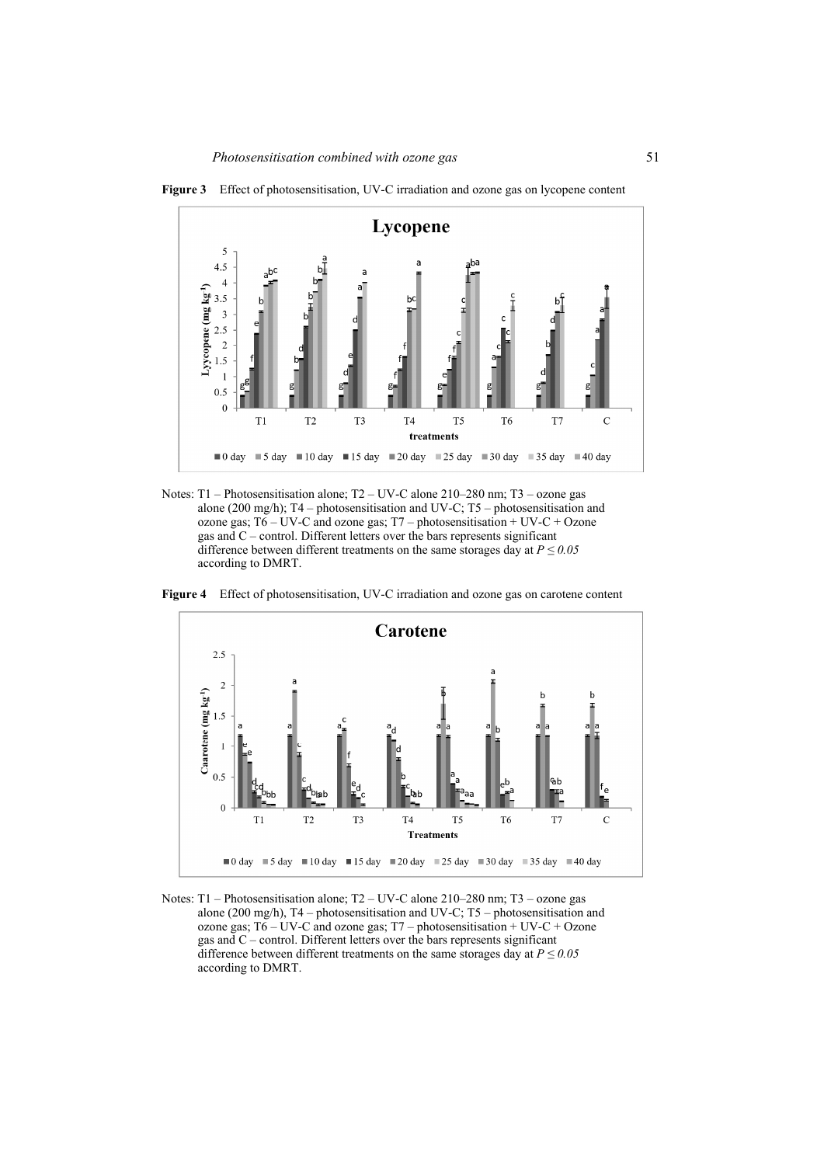

**Figure 3** Effect of photosensitisation, UV-C irradiation and ozone gas on lycopene content

Notes: T1 – Photosensitisation alone; T2 – UV-C alone 210–280 nm; T3 – ozone gas alone (200 mg/h); T4 – photosensitisation and UV-C; T5 – photosensitisation and ozone gas;  $T6 - UV-C$  and ozone gas;  $T7 - photosensitivityation + UV-C + Ozone$ gas and C – control. Different letters over the bars represents significant difference between different treatments on the same storages day at  $P \leq 0.05$ according to DMRT.

**Figure 4** Effect of photosensitisation, UV-C irradiation and ozone gas on carotene content



Notes: T1 – Photosensitisation alone; T2 – UV-C alone 210–280 nm; T3 – ozone gas alone (200 mg/h), T4 – photosensitisation and UV-C; T5 – photosensitisation and ozone gas;  $T6 - UV-C$  and ozone gas; T7 – photosensitisation + UV-C + Ozone gas and C – control. Different letters over the bars represents significant difference between different treatments on the same storages day at  $P \leq 0.05$ according to DMRT.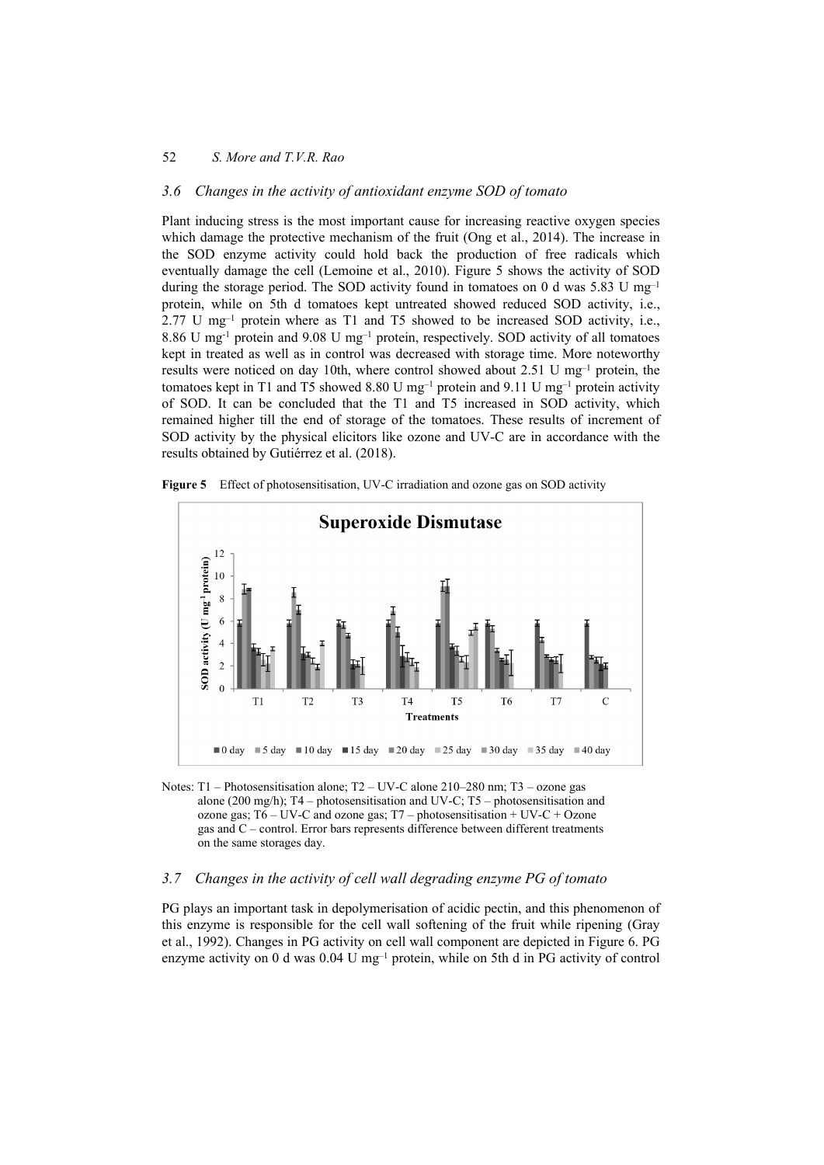### *3.6 Changes in the activity of antioxidant enzyme SOD of tomato*

Plant inducing stress is the most important cause for increasing reactive oxygen species which damage the protective mechanism of the fruit (Ong et al., 2014). The increase in the SOD enzyme activity could hold back the production of free radicals which eventually damage the cell (Lemoine et al., 2010). Figure 5 shows the activity of SOD during the storage period. The SOD activity found in tomatoes on 0 d was 5.83 U mg<sup>-1</sup> protein, while on 5th d tomatoes kept untreated showed reduced SOD activity, i.e.,  $2.77$  U mg<sup>-1</sup> protein where as T1 and T5 showed to be increased SOD activity, i.e., 8.86 U mg-1 protein and 9.08 U mg–1 protein, respectively. SOD activity of all tomatoes kept in treated as well as in control was decreased with storage time. More noteworthy results were noticed on day 10th, where control showed about 2.51 U mg–1 protein, the tomatoes kept in T1 and T5 showed 8.80 U mg<sup>-1</sup> protein and 9.11 U mg<sup>-1</sup> protein activity of SOD. It can be concluded that the T1 and T5 increased in SOD activity, which remained higher till the end of storage of the tomatoes. These results of increment of SOD activity by the physical elicitors like ozone and UV-C are in accordance with the results obtained by Gutiérrez et al. (2018).



**Figure 5** Effect of photosensitisation, UV-C irradiation and ozone gas on SOD activity

Notes: T1 – Photosensitisation alone; T2 – UV-C alone 210–280 nm; T3 – ozone gas alone (200 mg/h); T4 – photosensitisation and UV-C; T5 – photosensitisation and ozone gas;  $T6 - UV-C$  and ozone gas;  $T7 -$  photosensitisation + UV-C + Ozone gas and C – control. Error bars represents difference between different treatments on the same storages day.

## *3.7 Changes in the activity of cell wall degrading enzyme PG of tomato*

PG plays an important task in depolymerisation of acidic pectin, and this phenomenon of this enzyme is responsible for the cell wall softening of the fruit while ripening (Gray et al., 1992). Changes in PG activity on cell wall component are depicted in Figure 6. PG enzyme activity on 0 d was  $0.04$  U mg<sup>-1</sup> protein, while on 5th d in PG activity of control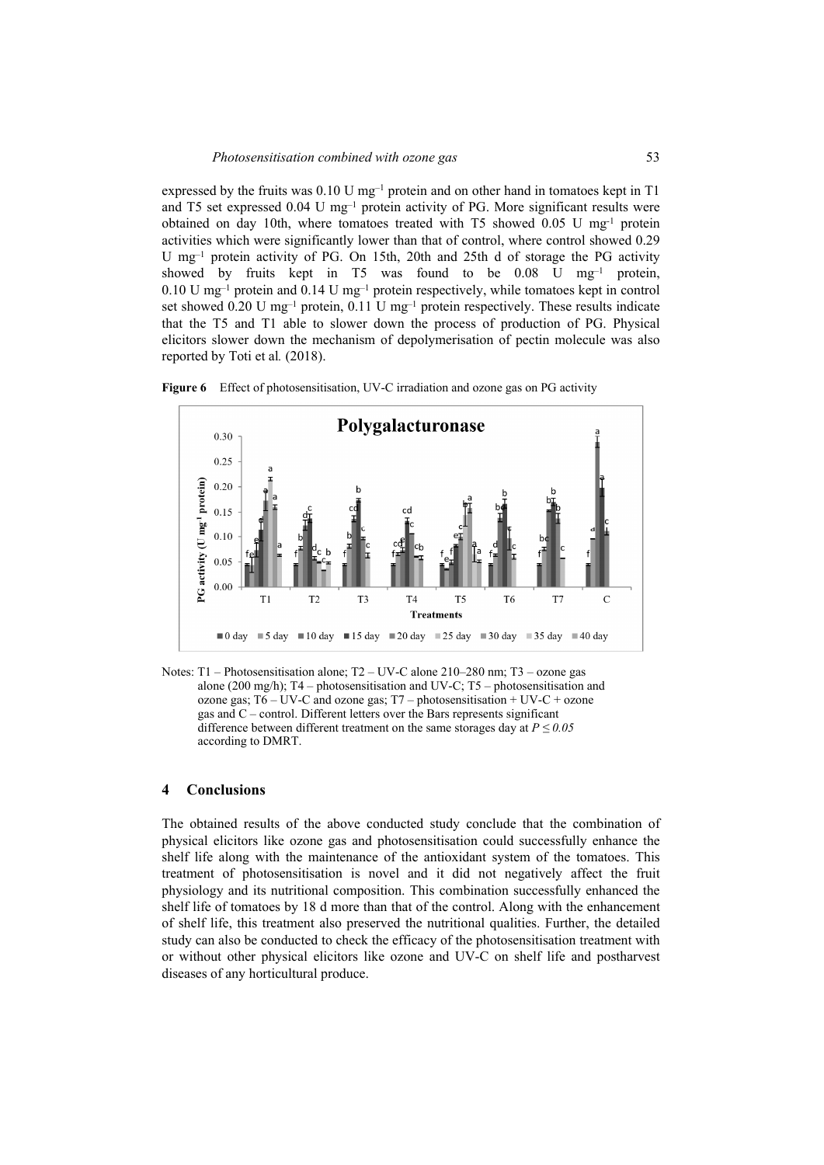expressed by the fruits was  $0.10 \text{ U mg}^{-1}$  protein and on other hand in tomatoes kept in T1 and T5 set expressed 0.04 U mg–1 protein activity of PG. More significant results were obtained on day 10th, where tomatoes treated with T5 showed  $0.05$  U mg<sup>-1</sup> protein activities which were significantly lower than that of control, where control showed 0.29 U mg–1 protein activity of PG. On 15th, 20th and 25th d of storage the PG activity showed by fruits kept in T5 was found to be  $0.08$  U mg<sup>-1</sup> protein, 0.10 U mg–1 protein and 0.14 U mg–1 protein respectively, while tomatoes kept in control set showed 0.20 U mg<sup>-1</sup> protein, 0.11 U mg<sup>-1</sup> protein respectively. These results indicate that the T5 and T1 able to slower down the process of production of PG. Physical elicitors slower down the mechanism of depolymerisation of pectin molecule was also reported by Toti et al*.* (2018).





Notes: T1 – Photosensitisation alone; T2 – UV-C alone 210–280 nm; T3 – ozone gas alone (200 mg/h);  $T4$  – photosensitisation and UV-C;  $T5$  – photosensitisation and ozone gas;  $T6 - UV-C$  and ozone gas;  $T7 - photosensitivityation + UV-C + ozone$ gas and C – control. Different letters over the Bars represents significant difference between different treatment on the same storages day at  $P \leq 0.05$ according to DMRT.

#### **4 Conclusions**

The obtained results of the above conducted study conclude that the combination of physical elicitors like ozone gas and photosensitisation could successfully enhance the shelf life along with the maintenance of the antioxidant system of the tomatoes. This treatment of photosensitisation is novel and it did not negatively affect the fruit physiology and its nutritional composition. This combination successfully enhanced the shelf life of tomatoes by 18 d more than that of the control. Along with the enhancement of shelf life, this treatment also preserved the nutritional qualities. Further, the detailed study can also be conducted to check the efficacy of the photosensitisation treatment with or without other physical elicitors like ozone and UV-C on shelf life and postharvest diseases of any horticultural produce.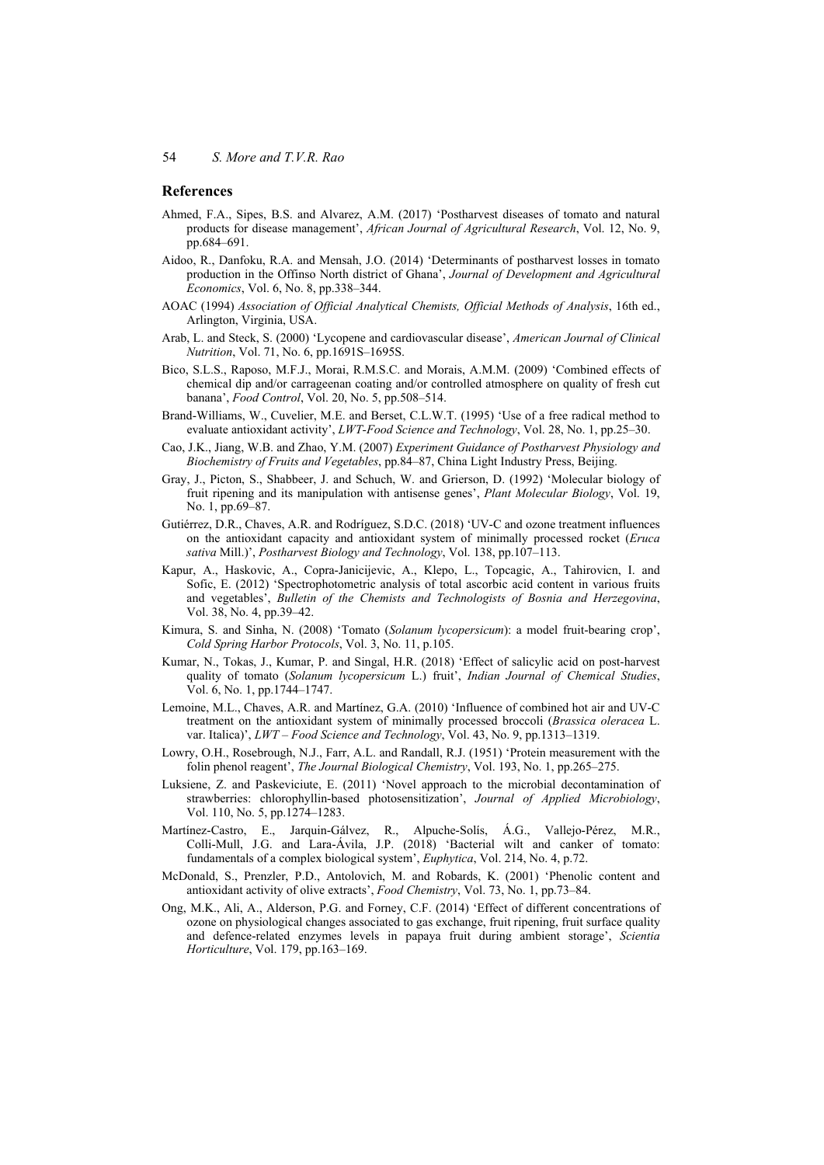#### **References**

- Ahmed, F.A., Sipes, B.S. and Alvarez, A.M. (2017) 'Postharvest diseases of tomato and natural products for disease management', *African Journal of Agricultural Research*, Vol. 12, No. 9, pp.684–691.
- Aidoo, R., Danfoku, R.A. and Mensah, J.O. (2014) 'Determinants of postharvest losses in tomato production in the Offinso North district of Ghana', *Journal of Development and Agricultural Economics*, Vol. 6, No. 8, pp.338–344.
- AOAC (1994) *Association of Official Analytical Chemists, Official Methods of Analysis*, 16th ed., Arlington, Virginia, USA.
- Arab, L. and Steck, S. (2000) 'Lycopene and cardiovascular disease', *American Journal of Clinical Nutrition*, Vol. 71, No. 6, pp.1691S–1695S.
- Bico, S.L.S., Raposo, M.F.J., Morai, R.M.S.C. and Morais, A.M.M. (2009) 'Combined effects of chemical dip and/or carrageenan coating and/or controlled atmosphere on quality of fresh cut banana', *Food Control*, Vol. 20, No. 5, pp.508–514.
- Brand-Williams, W., Cuvelier, M.E. and Berset, C.L.W.T. (1995) 'Use of a free radical method to evaluate antioxidant activity', *LWT-Food Science and Technology*, Vol. 28, No. 1, pp.25–30.
- Cao, J.K., Jiang, W.B. and Zhao, Y.M. (2007) *Experiment Guidance of Postharvest Physiology and Biochemistry of Fruits and Vegetables*, pp.84–87, China Light Industry Press, Beijing.
- Gray, J., Picton, S., Shabbeer, J. and Schuch, W. and Grierson, D. (1992) 'Molecular biology of fruit ripening and its manipulation with antisense genes', *Plant Molecular Biology*, Vol. 19, No. 1, pp.69–87.
- Gutiérrez, D.R., Chaves, A.R. and Rodríguez, S.D.C. (2018) 'UV-C and ozone treatment influences on the antioxidant capacity and antioxidant system of minimally processed rocket (*Eruca sativa* Mill.)', *Postharvest Biology and Technology*, Vol. 138, pp.107–113.
- Kapur, A., Haskovic, A., Copra-Janicijevic, A., Klepo, L., Topcagic, A., Tahirovicn, I. and Sofic, E. (2012) 'Spectrophotometric analysis of total ascorbic acid content in various fruits and vegetables', *Bulletin of the Chemists and Technologists of Bosnia and Herzegovina*, Vol. 38, No. 4, pp.39–42.
- Kimura, S. and Sinha, N. (2008) 'Tomato (*Solanum lycopersicum*): a model fruit-bearing crop', *Cold Spring Harbor Protocols*, Vol. 3, No. 11, p.105.
- Kumar, N., Tokas, J., Kumar, P. and Singal, H.R. (2018) 'Effect of salicylic acid on post-harvest quality of tomato (*Solanum lycopersicum* L.) fruit', *Indian Journal of Chemical Studies*, Vol. 6, No. 1, pp.1744–1747.
- Lemoine, M.L., Chaves, A.R. and Martínez, G.A. (2010) 'Influence of combined hot air and UV-C treatment on the antioxidant system of minimally processed broccoli (*Brassica oleracea* L. var. Italica)', *LWT – Food Science and Technology*, Vol. 43, No. 9, pp.1313–1319.
- Lowry, O.H., Rosebrough, N.J., Farr, A.L. and Randall, R.J. (1951) 'Protein measurement with the folin phenol reagent', *The Journal Biological Chemistry*, Vol. 193, No. 1, pp.265–275.
- Luksiene, Z. and Paskeviciute, E. (2011) 'Novel approach to the microbial decontamination of strawberries: chlorophyllin‐based photosensitization', *Journal of Applied Microbiology*, Vol. 110, No. 5, pp.1274–1283.
- Martínez-Castro, E., Jarquin-Gálvez, R., Alpuche-Solís, Á.G., Vallejo-Pérez, M.R., Colli-Mull, J.G. and Lara-Ávila, J.P. (2018) 'Bacterial wilt and canker of tomato: fundamentals of a complex biological system', *Euphytica*, Vol. 214, No. 4, p.72.
- McDonald, S., Prenzler, P.D., Antolovich, M. and Robards, K. (2001) 'Phenolic content and antioxidant activity of olive extracts', *Food Chemistry*, Vol. 73, No. 1, pp.73–84.
- Ong, M.K., Ali, A., Alderson, P.G. and Forney, C.F. (2014) 'Effect of different concentrations of ozone on physiological changes associated to gas exchange, fruit ripening, fruit surface quality and defence-related enzymes levels in papaya fruit during ambient storage', *Scientia Horticulture*, Vol. 179, pp.163–169.